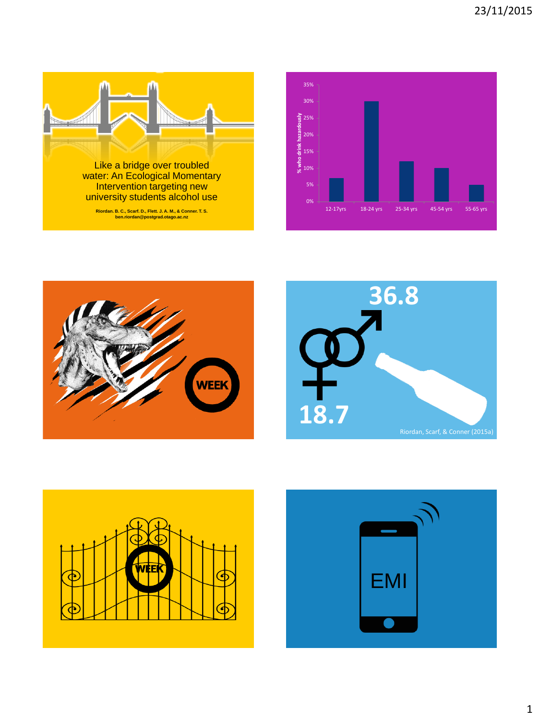









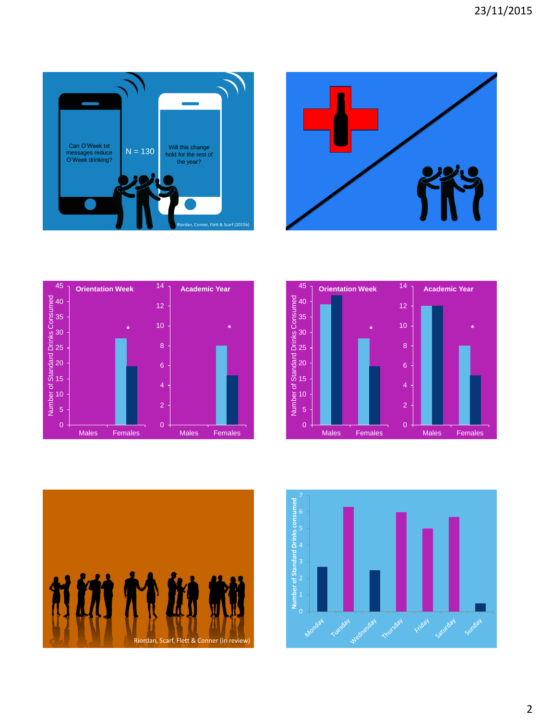